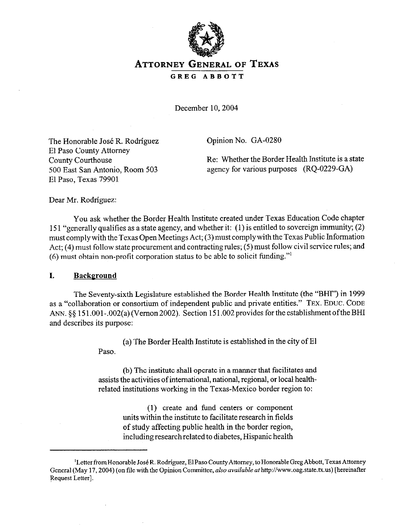

# **ATTORNEY GENERAL OF TEXAS**  GREG ABBOTT

December 10, 2004

The Honorable José R. Rodríguez El Paso County Attorney County Courthouse 500 East San Antonio, Room 503 El Paso, Texas 79901

Opinion No. GA-0280

Re: Whether the Border Health Institute is a state agency for various purposes (RQ-0229-GA)

Dear Mr. Rodriguez:

You ask whether the Border Health Institute created under Texas Education Code chapter 151 "generally qualifies as a state agency, and whether it: (1) is entitled to sovereign immunity; (2) must comply with the Texas Open Meetings Act; (3) must complywith the Texas Public Information Act; (4) must follow state procurement and contracting rules; (5) must follow civil service rules; and (6) must obtain non-profit corporation status to be able to solicit funding."'

#### I. **Background**

The Seventy-sixth Legislature established the Border Health Institute (the "BHI") in 1999 as a "collaboration or consortium of independent public and private entities." **TEX. EDUC. CODE**  ANN.  $\S$ § 151.001-.002(a) (Vernon 2002). Section 151.002 provides for the establishment of the BHI and describes its purpose:

> (a) The Border Health Institute is established in the city of El Paso.

> (b) The institute shall operate in a manner that facilitates and assists the activities of international, national, regional, or local healthrelated institutions working in the Texas-Mexico border region to:

> > (1) create and fund centers or component units within the institute to facilitate research in fields of study affecting public health in the border region, including researchrelated to diabetes, Hispanic health

<sup>&</sup>lt;sup>1</sup>Letter from Honorable José R. Rodríguez, El Paso County Attorney, to Honorable Greg Abbott, Texas Attorney General (May 17, 2004) (on file with the Opinion Committee, *also available at http://www.oag.state.tx.us*) [hereinafter Request Letter].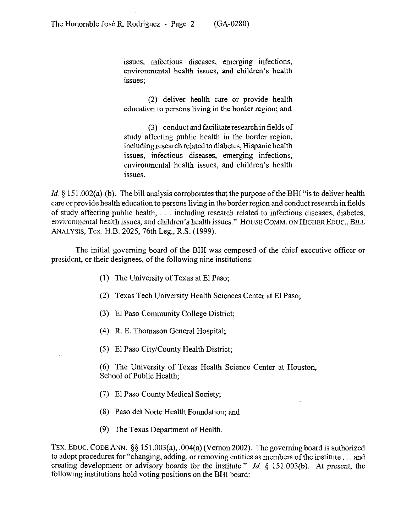issues, infectious diseases, emerging infections, environmental health issues, and children's health issues;

(2) deliver health care or provide health education to persons living in the border region; and

(3) conduct and facilitate research in fields of study affecting public health in the border region, including research related to diabetes, Hispanic health issues, infectious diseases, emerging infections, environmental health issues, and children's health issues.

*Id.* § 151.002(a)-(b). The bill analysis corroborates that the purpose of the BHI "is to deliver health care or provide health education to persons living in the border region and conduct research in fields of study affecting public health, i.e. including research related to infectious diseases, diabetes, environmental health issues, and children's health issues." HOUSE COMM. ON HIGHER EDUC., BILL ANALYSIS, Tex. H.B. 2025, 76th Leg., R.S. (1999).

The initial governing board of the BHI was composed of the chief executive officer or president, or their designees, of the following nine institutions:

- (1) The University of Texas at El Paso;
- (2) Texas Tech University Health Sciences Center at El Paso;
- (3) El Paso Community College District;
- (4) R. E. Thomason General Hospital;
- (5) El Paso City/County Health District;

(6) The University of Texas Health Science Center at Houston, School of Public Health:

- (7) El Paso County Medical Society;
- (8) Paso de1 Norte Health Foundation; and
- (9) The Texas Department of Health.

TEX. EDUC. CODE ANN.  $\S\S 151.003(a)$ , .004(a) (Vernon 2002). The governing board is authorized to adopt procedures for "changing, adding, or removing entities as members of the institute ... and creating development or advisory boards for the institute." *Id.* 5 151.003(b). At present, the following institutions hold voting positions on the BHI board: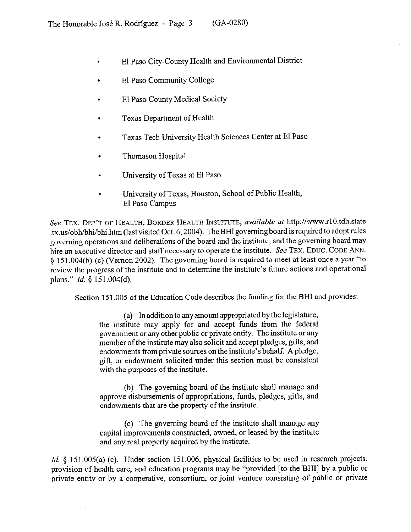- . El Paso City-County Health and Environmental District
- . El Paso Community College
- . El Paso County Medical Society
- . Texas Department of Health
- . Texas Tech University Health Sciences Center at El Paso
- . Thomason Hospital
- . University of Texas at El Paso
- . University of Texas, Houston, School of Public Health, El Paso Campus

**See TEX. DEP'T OF HEALTH, BORDER HEALTH INSTITUTE,** *available* af http://www.rlO.tdh.state .tx.us/obh/bhi/bhi.htm (last visited Oct. 6, 2004). The BHI governing board is required to adopt rules governing operations and deliberations of the board and the institute, and the governing board may hire an executive director and staff necessary to operate the institute. See TEX. EDUC. CODE ANN. 3 15 1.004(b)-(c) (Vernon 2002). The governing board is required to meet at least once a year "to review the progress of the institute and to determine the institute's future actions and operational plans." *Id. 5* 15 1.004(d).

Section 151.005 of the Education Code describes the funding for the BHI and provides:

(a) In addition to any amount appropriated by the legislature, the institute may apply for and accept funds from the federal government or any other public or private entity. The institute or any member of the institute may also solicit and accept pledges, gifts, and endowments from private sources on the institute's behalf. A pledge, gift, or endowment solicited under this section must be consistent with the purposes of the institute.

(b) The governing board of the institute shall manage and approve disbursements of appropriations, funds, pledges, gifts, and endowments that are the property of the institute.

(c) The governing board of the institute shall manage any capital improvements constructed, owned, or leased by the institute and any real property acquired by the institute.

*Id.* § 151.005(a)-(c). Under section 151.006, physical facilities to be used in research projects, provision of health care, and education programs may be "provided [to the BHI] by a public or private entity or by a cooperative, consortium, or joint venture consisting of public or private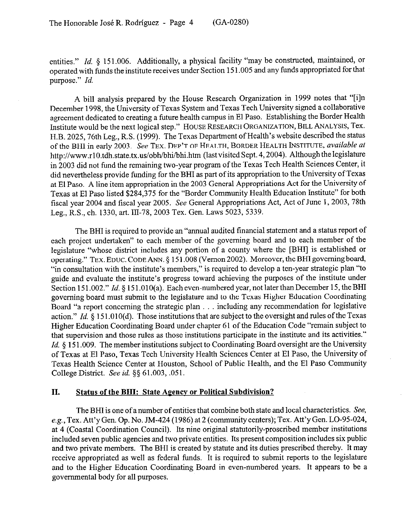entities." *Id.* § 151.006. Additionally, a physical facility "may be constructed, maintained, or operated with funds the institute receives under Section 15 1.005 and any funds appropriated for that purpose." *Id.* 

A bill analysis prepared by the House Research Organization in 1999 notes that "[i]n December 1998, the University of Texas System and Texas Tech University signed a collaborative agreement dedicated to creating a future health campus in El Paso. Establishing the Border Health Institute would be the next logical step." **HOUSE RESEARCH ORGANIZATION, BILL ANALYSIS,** Tex. H.B. 2025, 76th Leg., R.S. (1999). The Texas Department of Health's website described the status of the BHI in early 2003. **See TEX. DEP'T OF HEALTH,** BORDER HEALTH INSTITUTE, *available at*  http://www.rl 0.tdh.state.tx.us/obh/bhi/bhi.htm (last visited Sept. 4, 2004). Although the legislature in 2003 did not fund the remaining two-year program of the Texas Tech Health Sciences Center, it did nevertheless provide funding for the BHI as part of its appropriation to the University of Texas at El Paso. A line item appropriation in the 2003 General Appropriations Act for the University of Texas at El Paso listed \$284,375 for the "Border Community Health Education Institute" for both fiscal year 2004 and fiscal year 2005. See General Appropriations Act, Act of June 1,2003,78th Leg., R.S., ch. 1330, art. III-78, 2003 Tex. Gen. Laws 5023, 5339.

The BHI is required to provide an "annual audited financial statement and a status report of each project undertaken" to each member of the governing board and to each member of the legislature "whose district includes any portion of a county where the [BHI] is established or operating." **TEX.** EDUC. **CODE** ANN. § 15 1.008 (Vernon 2002). Moreover, the BHI governing board, "in consultation with the institute's members," is required to develop a ten-year strategic plan "to guide and evaluate the institute's progress toward achieving the purposes of the institute under Section 151.002." *Id.* § 151.010(a). Each even-numbered year, not later than December 15, the BHI governing board must submit to the legislature and to the Texas Higher Education Coordinating Board "a report concerning the strategic plan including any recommendation for legislative action." *Id.* § 151.010(d). Those institutions that are subject to the oversight and rules of the Texas Higher Education Coordinating Board under chapter 61 of the Education Code "remain subject to that supervision and those rules as those institutions participate in the institute and its activities." *Id.* 8 151.009. The member institutions subject to Coordinating Board oversight are the University of Texas at El Paso, Texas Tech University Health Sciences Center at El Paso, the University of Texas Health Science Center at Houston, School of Public Health, and the El Paso Community College District. See *id. 55* 61.003, .051.

#### II. **Status of the BHI: State Agencv or Political Subdivision?**

The BHI is one of a number of entities that combine both state and local characteristics. See, e.g., Tex. Att'y Gen. Op. No. JM-424 (1986) at 2 (community centers); Tex. Att'y Gen. LO-95-024, at 4 (Coastal Coordination Council). Its nine original statutorily-proscribed member institutions included seven public agencies and two private entities. Its present composition includes six public and two private members. The BHI is created by statute and its duties prescribed thereby. It may receive appropriated as well as federal funds. It is required to submit reports to the legislature and to the Higher Education Coordinating Board in even-numbered years. It appears to be a governmental body for all purposes.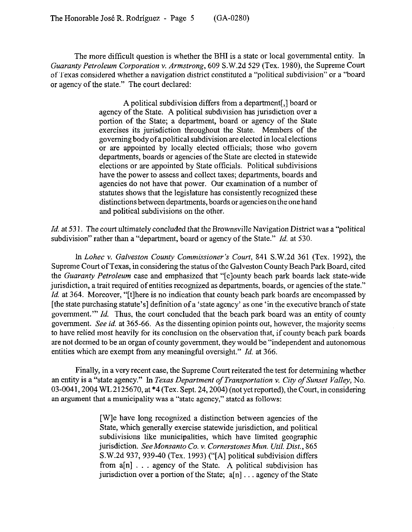The more difficult question is whether the BHI is a state or local governmental entity. In *Guaranty Petroleum Corporation v. Armstrong,* 609 S.W.2d 529 (Tex. 1980), the Supreme Court of Texas considered whether a navigation district constituted a "political subdivision" or a "board or agency of the state." The court declared:

> A political subdivision differs from a department[,] board or agency of the State. A political subdivision has jurisdiction over a portion of the State; a department, board or agency of the State exercises its jurisdiction throughout the State. Members of the governing body of apolitical subdivision are elected in local elections or are appointed by locally elected officials; those who govern departments, boards or agencies of the State are elected in statewide elections or are appointed by State officials. Political subdivisions have the power to assess and collect taxes; departments, boards and agencies do not have that power. Our examination of a number of statutes shows that the legislature has consistently recognized these distinctions between departments, boards or agencies on the one hand and political subdivisions on the other.

*Id.* at 53 1. The court ultimately concluded that the Brownsville *Navigation* District was a "political subdivision" rather than a "department, board or agency of the State." *Id.* at 530.

*In Lohec v. Galveston County Commissioner's Court,* 841 S.W.2d 361 (Tex. 1992), the Supreme Court of Texas, in considering the status of the Galveston County Beach Park Board, cited the *Guaranty Petroleum* case and emphasized that "[clounty beach park boards lack state-wide jurisdiction, a trait required of entities recognized as departments, boards, or agencies of the state." *Id.* at 364. Moreover, "[t] here is no indication that county beach park boards are encompassed by [the state purchasing statute's] definition of a 'state agency' as one 'in the executive branch of state government."' *Id.* Thus, the court concluded that the beach park board was an entity of county government. See *id.* at 365-66. As the dissenting opinion points out, however, the majority seems to have relied most heavily for its conclusion on the observation that, if county beach park boards are not deemed to be an organ of county government, they would be "independent and autonomous entities which are exempt from any meaningful oversight." *Id.* at 366.

Finally, in a very recent case, the Supreme Court reiterated the test for determining whether an entity is a "state agency." *In Texas Department of Transportation Y. City of Sunset Valley, No.*  03-0041, 2004 WL 2125670, at \*4 (Tex. Sept. 24, 2004) (not yet reported), the Court, in considering an argument that a municipality was a "state agency," stated as follows:

> [W]e have long recognized a distinction between agencies of the State, which generally exercise statewide jurisdiction, and political subdivisions like municipalities, which have limited geographic jurisdiction. *See Monsanto Co. v. Cornerstones Mun. Util. Dist.*, 865 S.W.2d 937, 939-40 (Tex. 1993) ("[A] political subdivision differs from a[n] . . agency of the State. A political subdivision has jurisdiction over a portion of the State;  $a[n]$ ... agency of the State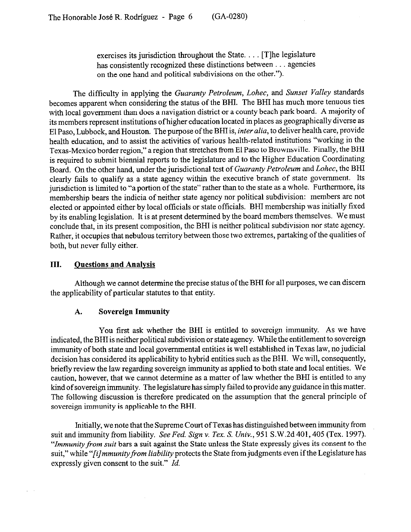exercises its jurisdiction throughout the State.  $\ldots$  [T]he legislature has consistently recognized these distinctions between . . . agencies on the one hand and political subdivisions on the other.").

The difficulty in applying the *Guaranty Petroleum, Lohec,* and *Sunset Valley* standards becomes apparent when considering the status of the BHI. The BHI has much more tenuous ties with local government than does a navigation district or a county beach park board. A majority of its members represent institutions ofhigher education located in places as geographically diverse as El Paso, Lubbock, and Houston. The purpose of the BHI is, *inter alia,* to deliver health care, provide health education, and to assist the activities of various health-related institutions "working in the Texas-Mexico border region," a region that stretches from El Paso to Brownsville. Finally, the BHI is required to submit biemial reports to the legislature and to the Higher Education Coordinating Board. On the other hand, under the jurisdictional test of *Guaranty Petroleum* and *Lohec,* the BHI clearly fails to qualify as a state agency within the executive branch of state government. Its jurisdiction is limited to "a portion of the state" rather than to the state as a whole. Furthermore, its membership bears the indicia of neither state agency nor political subdivision: members are not elected or appointed either by local officials or state officials. BHI membership was initially fixed by its enabling legislation. It is at present determined by the board members themselves. We must conclude that, in its present composition, the BHI is neither political subdivision nor state agency. Rather, it occupies that nebulous territory between those two extremes, partaking of the qualities of both, but never fully either.

# **III. Ouestions and Analvsis**

 $\sim$ 

Although we cannot determine the precise status of the BHI for all purposes, we can discern the applicability of particular statutes to that entity.

## **A. Sovereign Immunity**

You first ask whether the BHI is entitled to sovereign immunity. As we have indicated, the BHI is neither political subdivision or state agency. While the entitlement to sovereign immunity of both state and local governmental entities is well established in Texas law, no judicial decision has considered its applicability to hybrid entities such as the BHI. We will, consequently, briefly review the law regarding sovereign immunity as applied to both state and local entities. We caution, however, that we cannot determine as a matter of law whether the BHI is entitled to any kind of sovereign immunity. The legislature has simply failed to provide any guidance in this matter. The following discussion is therefore predicated on the assumption that the general principle of sovereign immunity is applicable to the BHI.

Initially, we note that the Supreme Court of Texas has distinguished between immunity from suit and immunity from liability. See *Fed. Sign v. Tex. S. Univ., 951* S.W.2d 401,405 (Tex. 1997). *"Zmmunityfrom suit* bars a suit against the State unless the State expressly gives its consent to the suit," while "*[i] mmunity from liability* protects the State from judgments even if the Legislature has expressly given consent to the suit." *Id.*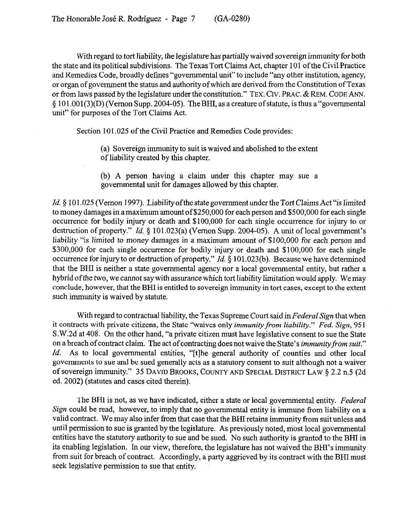With regard to tort liability, the legislature has partially waived sovereign immunity for both the state and its political subdivisions. The Texas Tort Claims Act, chapter 101 of the Civil Practice and Remedies Code, broadly defines "governmental unit" to include "any other institution, agency, or organ of government the status and authorityofwhich are derived from the Constitution ofTexas or from laws passed by the legislature under the constitution." TEX. CIV. PRAC. & REM. CODE ANN.  $\S 101.001(3)(D)$  (Vernon Supp. 2004-05). The BHI, as a creature of statute, is thus a "governmental unit" for purposes of the Tort Claims Act.

Section 101.025 of the Civil Practice and Remedies Code provides:

(a) Sovereign immunity to suit is waived and abolished to the extent of liability created by this chapter.

(b) A person having a claim under this chapter may sue a governmental unit for damages allowed by this chapter.

*Id.* § 101.025 (Vernon 1997). Liability of the state government under the Tort Claims Act "is limited to money damages in a maximum amount of \$250,000 for each person and \$500,000 for each single occurrence for bodily injury or death and \$100,000 for each single occurrence for injury to or destruction of property." *Id.* § 101.023(a) (Vernon Supp. 2004-05). A unit of local government's liability "is limited to money damages in a maximum amount of \$100,000 for each person and \$300,000 for each single occurrence for bodily injury or death and \$100,000 for each single occurrence for injury to or destruction of property." *Id.* § 101.023(b). Because we have determined that the BHI is neither a state governmental agency nor a local governmental entity, but rather a hybrid ofthe two, we cannot say with assurance which tort liability limitation would apply. We may conclude, however, that the BHI is entitled to sovereign immunity in tort cases, except to the extent such immunity is waived by statute.

With regard to contractual liability, the Texas Supreme Court said in *Federal Sign* that when it contracts with private citizens, the State "waives only *immunity from liability." Fed. Sign, 95* 1 S.W.2d at 408. On the other hand, "a private citizen must have legislative consent to sue the State on a breach of contract claim. The act of contracting does not waive the State's *immunity from suit.*" *Id.* As to local governmental entities, "[t]he general authority of counties and other local governments to sue and be sued generally acts as a statutory consent to suit although not a waiver of sovereign immunity." 35 **DAVID BROOKS, COUNTY AND SPECIAL DISTRICT LAW 5 2.2 n.5 (2d**  ed. 2002) (statutes and cases cited therein).

The BHI is not, as we have indicated, either a state or local governmental entity. *Federal Sign* could be read, however, to imply that no governmental entity is immune from liability on a valid contract. We may also infer from that case that the BHI retains immunity from suit unless and until permission to sue is granted by the legislature. As previously noted, most local governmental entities have the statutory authority to sue and be sued. No such authority is granted to the BHI in its enabling legislation. In our view, therefore, the legislature has not waived the BHI's immunity from suit for breach of contract. Accordingly, a party aggrieved by its contract with the BHI must seek legislative permission to sue that entity.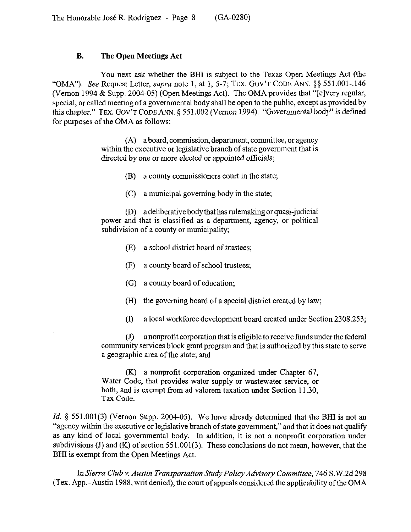#### **B. The Open Meetings Act**

You next ask whether the BHI is subject to the Texas Open Meetings Act (the "OMA"). See Request Letter, *supru* note 1, at 1, 5-7; **TEX. GOV'T CODE** ANN. \$5 551.001-,146 (Vernon 1994 & Supp. 2004-05) (Open Meetings Act). The OMA provides that "[elvery regular, special, or called meeting of a governmental body shall be open to the public, except as provided by this chapter." **TEX. GOV'T CODE** ANN. 5 55 1.002 (Vernon 1994). "Governmental body" is defined for purposes of the OMA as follows:

> (A) aboard, commission, department, committee, or agency within the executive or legislative branch of state government that is directed by one or more elected *or* appointed officials;

> > (B) a county commissioners court in the state;

(C) a municipal governing body in the state;

(D) a deliberative body that has rulemaking or quasi-judicial power and that is classified as a department, agency, or political subdivision of a county or municipality;

- (E) a school district board of trustees;
- 03 a county board of school trustees;
- (G) a county board of education;
- (H) the governing board of a special district created by law;
- (I) a local workforce development board created under Section 2308.253;

 $(J)$  anonprofit corporation that is eligible to receive funds under the federal community services block grant program and that is authorized by this state to serve a geographic area of the state; and

(K) a nonprofit corporation organized under Chapter 67, Water Code, that provides water supply or wastewater service, or both, and is exempt from ad valorem taxation under Section 11.30, Tax Code.

*Id.* § 551.001(3) (Vernon Supp. 2004-05). We have already determined that the BHI is not an "agency within the executive or legislative branch of state government," and that it does not qualify as any kind of local governmental body. In addition, it is not a nonprofit corporation under subdivisions (J) and  $(K)$  of section 551.001(3). These conclusions do not mean, however, that the BHI is exempt from the Open Meetings Act.

In Sierra Club v. Austin Transportation Study Policy Advisory Committee, 746 S.W.2d 298 (Tex. App.-Austin 1988, writ denied), the court of appeals considered the applicability ofthe OMA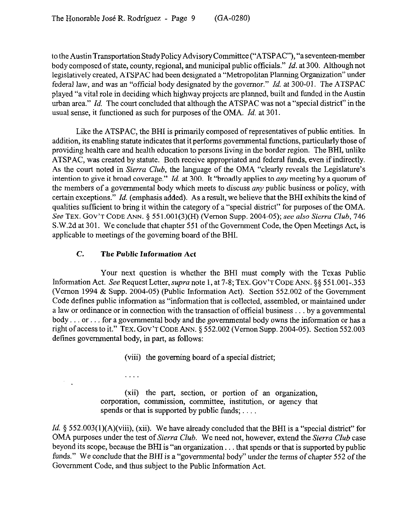to the AustinTransportation StudyPolicy Advisory Committee ("ATSPAC"), "aseventeen-member body composed of state, county, regional, and municipal public officials." *Id.* at 300. Although not legislatively created, ATSPAC had been designated a "Metropolitan Planning Organization" under federal law, and was an "official body designated by the governor." *Id.* at 300-01. The ATSPAC played "a vital role in deciding which highway projects are planned, built and funded in the Austin urban area." *Id.* The court concluded that although the ATSPAC was not a "special district" in the usual sense, it functioned as such for purposes of the OMA. *Id.* at 301.

Like the ATSPAC, the BHI is primarily composed of representatives of public entities. In addition, its enabling statute indicates that it performs governmental functions, particularly those of providing health care and health education to persons living in the border region. The BHI, unlike ATSPAC, was created by statute. Both receive appropriated and federal funds, even if indirectly. As the court noted in *Sierra Club,* the language of the OMA "clearly reveals the Legislature's intention to give it broad coverage." *Id.* at 300. It "broadly applies to any meeting by a quorum of the members of a governmental body which meets to discuss  $any$  public business or policy, with certain exceptions." *Id.* (emphasis added). As a result, we believe that the BHI exhibits the kind of qualities sufficient to bring it within the category of a "special district" for purposes of the OMA. See **TEX. GOV'T CODE ANN.** \$ 551,001(3)(H) (Vernon Supp. 2004-05); see also *Sierra Club, 746*  S.W.2d at 301. We conclude that chapter 551 of the Government Code, the Open Meetings Act, is applicable to meetings of the governing board of the BHI.

# C. **The Public Information Act**

.

Your next question is whether the BHI must comply with the Texas Public Information Act. See Request Letter, *supra* note 1, at 7-8; TEX. GOV'T CODE ANN. §§ 551.001-.353 (Vernon 1994 & Supp. 2004-05) (Public Information Act). Section 552.002 of the Government Code defines public information as "information that is collected, assembled, or maintained under a law or ordinance or in connection with the transaction of official business  $\dots$  by a governmental body... or... for a governmental body and the governmental body owns the information or has a right of access to it." **TEX. GOV'T CODE** ANN. 5 552.002 (Vernon Supp. 2004-05). Section 552.003 defines governmental body, in part, as follows:

(viii) the governing board of a special district;

(xii) the part, section, or portion of an organization, corporation, commission, committee, institution, or agency that spends or that is supported by public funds;  $\dots$ 

*Id.*  $\S$  552.003(1)(A)(viii), (xii). We have already concluded that the BHI is a "special district" for OMA purposes under *the* test of *Sierra Club.* We need not, however, extend the Sierra *Club* case beyond its scope, because the BHI is "an organization... that spends or that is supported by public funds." We conclude that the BHI *is a* "governmental body" under the terms of chapter 552 of *the*  Government Code, and thus subject to the Public Information Act.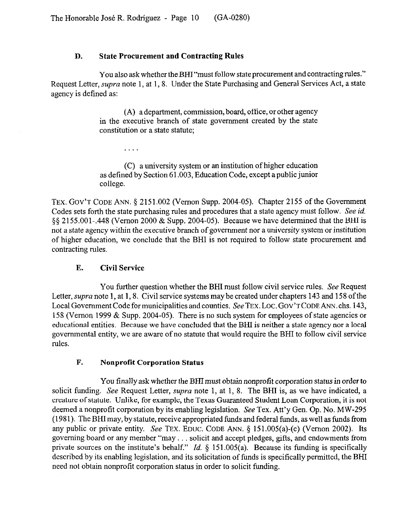## **D. State Procurement and Contracting Rules**

You also ask whether the BHI "must follow state procurement and contracting rules." Request Letter, *supra* note 1, at 1, 8. Under the State Purchasing and General Services Act, a state agency is defined as:

> (A) a department, commission, board, office, or other agency in the executive branch of state government created by the state constitution or a state statute:

> (C) a university system or an institution of higher education as defined by Section 61.003, Education Code, except a public junior college.

TEX. GOV'T CODE ANN. § 2151.002 (Vernon Supp. 2004-05). Chapter 2155 of the Government Codes sets forth the state purchasing rules and procedures that a state agency must follow. See *id.*  \$5 2155.001.,448 (Vernon 2000 & Supp. 2004-05). Because we have determined that the BHI is not a state agency within the executive branch of government nor a university system or institution of higher education, we conclude that the BHI is not required to follow state procurement and contracting rules.

# **E. Civil Service**

. . . .

You further question whether the BHI must follow civil service rules. See Request Letter, *supra* note 1, at 1, 8. Civil service systems may be created under chapters 143 and 158 of the Local Government Code for municipalities and counties. See TEX. LOC. GOV'TCODE ANN. chs. 143, 158 (Vernon 1999 & Supp. 2004-05). There is no such system for employees of state agencies or educational entities. Because we have concluded that the BHI is neither a state agency nor a local governmental entity, we are aware of no statute that would require the BHI to follow civil service rules.

## **F. Nonprofit Corporation Status**

You finally ask whether the BHI must obtain nonprofit corporation status in order to solicit funding. See Request Letter, *supra* note 1, at 1, 8. The BHI is, as we have indicated, a creature of statute. Unlike, for example, the Texas Guaranteed Student Loan Corporation, it is not deemed a nonprofit corporation by its enabling legislation. See Tex. Att'y Gen. Op. No. MW-295 (1981). The BHI may, by statute, receive appropriated funds and federal funds, as well as funds from any public or private entity. See TEX. EDUC. CODE ANN.  $\S$  151.005(a)-(c) (Vernon 2002). Its governing board or any member "may... solicit and accept pledges, gifts, and endowments from private sources on the institute's behalf." *Id.* § 151.005(a). Because its funding is specifically described by its enabling legislation, and its solicitation of funds is specifically permitted, the BHI need not obtain nonprofit corporation status in order to solicit funding.